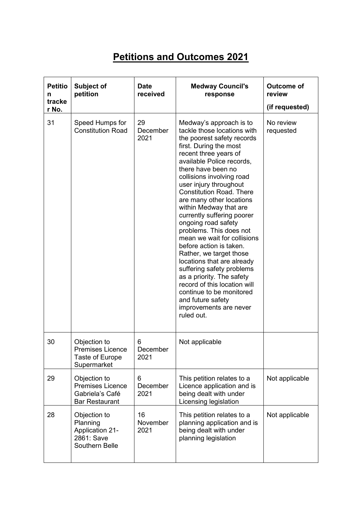## **Petitions and Outcomes 2021**

| <b>Petitio</b><br>n<br>tracke<br>r No. | Subject of<br>petition                                                              | <b>Date</b><br>received | <b>Medway Council's</b><br>response                                                                                                                                                                                                                                                                                                                                                                                                                                                                                                                                                                                                                                                                                              | <b>Outcome of</b><br>review<br>(if requested) |
|----------------------------------------|-------------------------------------------------------------------------------------|-------------------------|----------------------------------------------------------------------------------------------------------------------------------------------------------------------------------------------------------------------------------------------------------------------------------------------------------------------------------------------------------------------------------------------------------------------------------------------------------------------------------------------------------------------------------------------------------------------------------------------------------------------------------------------------------------------------------------------------------------------------------|-----------------------------------------------|
| 31                                     | Speed Humps for<br><b>Constitution Road</b>                                         | 29<br>December<br>2021  | Medway's approach is to<br>tackle those locations with<br>the poorest safety records<br>first. During the most<br>recent three years of<br>available Police records,<br>there have been no<br>collisions involving road<br>user injury throughout<br><b>Constitution Road. There</b><br>are many other locations<br>within Medway that are<br>currently suffering poorer<br>ongoing road safety<br>problems. This does not<br>mean we wait for collisions<br>before action is taken.<br>Rather, we target those<br>locations that are already<br>suffering safety problems<br>as a priority. The safety<br>record of this location will<br>continue to be monitored<br>and future safety<br>improvements are never<br>ruled out. | No review<br>requested                        |
| 30                                     | Objection to<br><b>Premises Licence</b><br>Taste of Europe<br>Supermarket           | 6<br>December<br>2021   | Not applicable                                                                                                                                                                                                                                                                                                                                                                                                                                                                                                                                                                                                                                                                                                                   |                                               |
| 29                                     | Objection to<br><b>Premises Licence</b><br>Gabriela's Café<br><b>Bar Restaurant</b> | 6<br>December<br>2021   | This petition relates to a<br>Licence application and is<br>being dealt with under<br>Licensing legislation                                                                                                                                                                                                                                                                                                                                                                                                                                                                                                                                                                                                                      | Not applicable                                |
| 28                                     | Objection to<br>Planning<br><b>Application 21-</b><br>2861: Save<br>Southern Belle  | 16<br>November<br>2021  | This petition relates to a<br>planning application and is<br>being dealt with under<br>planning legislation                                                                                                                                                                                                                                                                                                                                                                                                                                                                                                                                                                                                                      | Not applicable                                |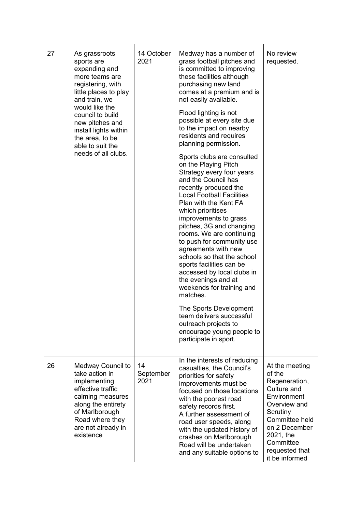| 27 | As grassroots<br>sports are<br>expanding and<br>more teams are<br>registering, with<br>little places to play<br>and train, we<br>would like the<br>council to build<br>new pitches and<br>install lights within<br>the area, to be<br>able to suit the<br>needs of all clubs. | 14 October<br>2021      | Medway has a number of<br>grass football pitches and<br>is committed to improving<br>these facilities although<br>purchasing new land<br>comes at a premium and is<br>not easily available.<br>Flood lighting is not<br>possible at every site due<br>to the impact on nearby<br>residents and requires<br>planning permission.<br>Sports clubs are consulted<br>on the Playing Pitch<br>Strategy every four years<br>and the Council has<br>recently produced the<br><b>Local Football Facilities</b><br>Plan with the Kent FA<br>which prioritises<br>improvements to grass<br>pitches, 3G and changing<br>rooms. We are continuing<br>to push for community use<br>agreements with new<br>schools so that the school<br>sports facilities can be<br>accessed by local clubs in<br>the evenings and at<br>weekends for training and<br>matches.<br>The Sports Development<br>team delivers successful<br>outreach projects to<br>encourage young people to<br>participate in sport. | No review<br>requested.                                                                                                                                                                              |
|----|-------------------------------------------------------------------------------------------------------------------------------------------------------------------------------------------------------------------------------------------------------------------------------|-------------------------|---------------------------------------------------------------------------------------------------------------------------------------------------------------------------------------------------------------------------------------------------------------------------------------------------------------------------------------------------------------------------------------------------------------------------------------------------------------------------------------------------------------------------------------------------------------------------------------------------------------------------------------------------------------------------------------------------------------------------------------------------------------------------------------------------------------------------------------------------------------------------------------------------------------------------------------------------------------------------------------|------------------------------------------------------------------------------------------------------------------------------------------------------------------------------------------------------|
| 26 | Medway Council to<br>take action in<br>implementing<br>effective traffic<br>calming measures<br>along the entirety<br>of Marlborough<br>Road where they<br>are not already in<br>existence                                                                                    | 14<br>September<br>2021 | In the interests of reducing<br>casualties, the Council's<br>priorities for safety<br>improvements must be<br>focused on those locations<br>with the poorest road<br>safety records first.<br>A further assessment of<br>road user speeds, along<br>with the updated history of<br>crashes on Marlborough<br>Road will be undertaken<br>and any suitable options to                                                                                                                                                                                                                                                                                                                                                                                                                                                                                                                                                                                                                   | At the meeting<br>of the<br>Regeneration,<br>Culture and<br>Environment<br>Overview and<br>Scrutiny<br>Committee held<br>on 2 December<br>2021, the<br>Committee<br>requested that<br>it be informed |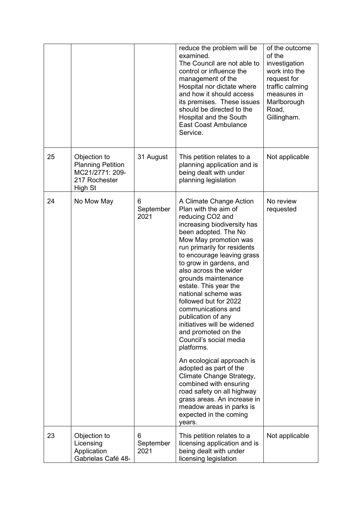|    |                                                                                         |                        | reduce the problem will be<br>examined.<br>The Council are not able to<br>control or influence the<br>management of the<br>Hospital nor dictate where<br>and how it should access<br>its premises. These issues<br>should be directed to the<br>Hospital and the South<br><b>East Coast Ambulance</b><br>Service.                                                                                                                                                                                                                                                                                                                                                                                                                                        | of the outcome<br>of the<br>investigation<br>work into the<br>request for<br>traffic calming<br>measures in<br>Marlborough<br>Road,<br>Gillingham. |
|----|-----------------------------------------------------------------------------------------|------------------------|----------------------------------------------------------------------------------------------------------------------------------------------------------------------------------------------------------------------------------------------------------------------------------------------------------------------------------------------------------------------------------------------------------------------------------------------------------------------------------------------------------------------------------------------------------------------------------------------------------------------------------------------------------------------------------------------------------------------------------------------------------|----------------------------------------------------------------------------------------------------------------------------------------------------|
| 25 | Objection to<br><b>Planning Petition</b><br>MC21/2771: 209-<br>217 Rochester<br>High St | 31 August              | This petition relates to a<br>planning application and is<br>being dealt with under<br>planning legislation                                                                                                                                                                                                                                                                                                                                                                                                                                                                                                                                                                                                                                              | Not applicable                                                                                                                                     |
| 24 | No Mow May                                                                              | 6<br>September<br>2021 | A Climate Change Action<br>Plan with the aim of<br>reducing CO2 and<br>increasing biodiversity has<br>been adopted. The No<br>Mow May promotion was<br>run primarily for residents<br>to encourage leaving grass<br>to grow in gardens, and<br>also across the wider<br>grounds maintenance<br>estate. This year the<br>national scheme was<br>followed but for 2022<br>communications and<br>publication of any<br>initiatives will be widened<br>and promoted on the<br>Council's social media<br>platforms.<br>An ecological approach is<br>adopted as part of the<br>Climate Change Strategy,<br>combined with ensuring<br>road safety on all highway<br>grass areas. An increase in<br>meadow areas in parks is<br>expected in the coming<br>years. | No review<br>requested                                                                                                                             |
| 23 | Objection to<br>Licensing<br>Application                                                | 6<br>September<br>2021 | This petition relates to a<br>licensing application and is<br>being dealt with under                                                                                                                                                                                                                                                                                                                                                                                                                                                                                                                                                                                                                                                                     | Not applicable                                                                                                                                     |
|    | Gabrielas Café 48-                                                                      |                        | licensing legislation                                                                                                                                                                                                                                                                                                                                                                                                                                                                                                                                                                                                                                                                                                                                    |                                                                                                                                                    |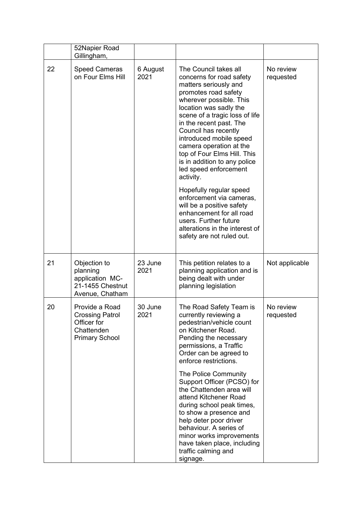|    | 52Napier Road<br>Gillingham,                                                                   |                  |                                                                                                                                                                                                                                                                                                                                                                                                                                                                                                                                                                                                                 |                        |
|----|------------------------------------------------------------------------------------------------|------------------|-----------------------------------------------------------------------------------------------------------------------------------------------------------------------------------------------------------------------------------------------------------------------------------------------------------------------------------------------------------------------------------------------------------------------------------------------------------------------------------------------------------------------------------------------------------------------------------------------------------------|------------------------|
| 22 | <b>Speed Cameras</b><br>on Four Elms Hill                                                      | 6 August<br>2021 | The Council takes all<br>concerns for road safety<br>matters seriously and<br>promotes road safety<br>wherever possible. This<br>location was sadly the<br>scene of a tragic loss of life<br>in the recent past. The<br>Council has recently<br>introduced mobile speed<br>camera operation at the<br>top of Four Elms Hill. This<br>is in addition to any police<br>led speed enforcement<br>activity.<br>Hopefully regular speed<br>enforcement via cameras,<br>will be a positive safety<br>enhancement for all road<br>users. Further future<br>alterations in the interest of<br>safety are not ruled out. | No review<br>requested |
| 21 | Objection to<br>planning<br>application MC-<br>21-1455 Chestnut<br>Avenue, Chatham             | 23 June<br>2021  | This petition relates to a<br>planning application and is<br>being dealt with under<br>planning legislation                                                                                                                                                                                                                                                                                                                                                                                                                                                                                                     | Not applicable         |
| 20 | Provide a Road<br><b>Crossing Patrol</b><br>Officer for<br>Chattenden<br><b>Primary School</b> | 30 June<br>2021  | The Road Safety Team is<br>currently reviewing a<br>pedestrian/vehicle count<br>on Kitchener Road.<br>Pending the necessary<br>permissions, a Traffic<br>Order can be agreed to<br>enforce restrictions.                                                                                                                                                                                                                                                                                                                                                                                                        | No review<br>requested |
|    |                                                                                                |                  | The Police Community<br>Support Officer (PCSO) for<br>the Chattenden area will<br>attend Kitchener Road<br>during school peak times,<br>to show a presence and<br>help deter poor driver<br>behaviour. A series of<br>minor works improvements<br>have taken place, including<br>traffic calming and<br>signage.                                                                                                                                                                                                                                                                                                |                        |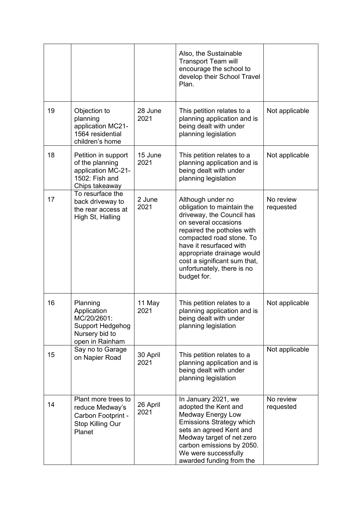|    |                                                                                                  |                  | Also, the Sustainable<br><b>Transport Team will</b><br>encourage the school to<br>develop their School Travel<br>Plan.                                                                                                                                                                               |                        |
|----|--------------------------------------------------------------------------------------------------|------------------|------------------------------------------------------------------------------------------------------------------------------------------------------------------------------------------------------------------------------------------------------------------------------------------------------|------------------------|
| 19 | Objection to<br>planning<br>application MC21-<br>1564 residential<br>children's home             | 28 June<br>2021  | This petition relates to a<br>planning application and is<br>being dealt with under<br>planning legislation                                                                                                                                                                                          | Not applicable         |
| 18 | Petition in support<br>of the planning<br>application MC-21-<br>1502: Fish and<br>Chips takeaway | 15 June<br>2021  | This petition relates to a<br>planning application and is<br>being dealt with under<br>planning legislation                                                                                                                                                                                          | Not applicable         |
| 17 | To resurface the<br>back driveway to<br>the rear access at<br>High St, Halling                   | 2 June<br>2021   | Although under no<br>obligation to maintain the<br>driveway, the Council has<br>on several occasions<br>repaired the potholes with<br>compacted road stone. To<br>have it resurfaced with<br>appropriate drainage would<br>cost a significant sum that,<br>unfortunately, there is no<br>budget for. | No review<br>requested |
| 16 | Planning<br>Application<br>MC/20/2601:<br>Support Hedgehog<br>Nursery bid to<br>open in Rainham  | 11 May<br>2021   | This petition relates to a<br>planning application and is<br>being dealt with under<br>planning legislation                                                                                                                                                                                          | Not applicable         |
| 15 | Say no to Garage<br>on Napier Road                                                               | 30 April<br>2021 | This petition relates to a<br>planning application and is<br>being dealt with under<br>planning legislation                                                                                                                                                                                          | Not applicable         |
| 14 | Plant more trees to<br>reduce Medway's<br>Carbon Footprint -<br>Stop Killing Our<br>Planet       | 26 April<br>2021 | In January 2021, we<br>adopted the Kent and<br>Medway Energy Low<br><b>Emissions Strategy which</b><br>sets an agreed Kent and<br>Medway target of net zero<br>carbon emissions by 2050.<br>We were successfully<br>awarded funding from the                                                         | No review<br>requested |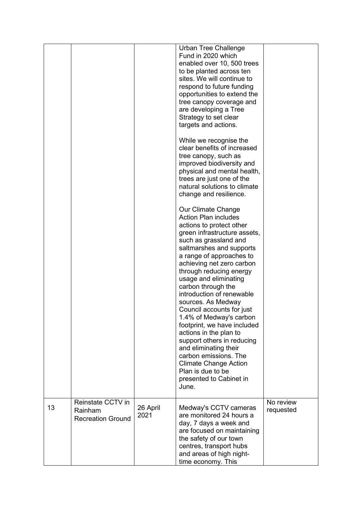|    |                                                          |                  | Urban Tree Challenge<br>Fund in 2020 which<br>enabled over 10, 500 trees<br>to be planted across ten<br>sites. We will continue to<br>respond to future funding<br>opportunities to extend the<br>tree canopy coverage and<br>are developing a Tree<br>Strategy to set clear<br>targets and actions.<br>While we recognise the<br>clear benefits of increased<br>tree canopy, such as<br>improved biodiversity and<br>physical and mental health,<br>trees are just one of the<br>natural solutions to climate<br>change and resilience.<br>Our Climate Change<br><b>Action Plan includes</b><br>actions to protect other<br>green infrastructure assets,<br>such as grassland and<br>saltmarshes and supports<br>a range of approaches to<br>achieving net zero carbon<br>through reducing energy<br>usage and eliminating<br>carbon through the<br>introduction of renewable<br>sources. As Medway<br>Council accounts for just<br>1.4% of Medway's carbon<br>footprint, we have included<br>actions in the plan to<br>support others in reducing<br>and eliminating their<br>carbon emissions. The<br><b>Climate Change Action</b><br>Plan is due to be<br>presented to Cabinet in<br>June. |                        |
|----|----------------------------------------------------------|------------------|------------------------------------------------------------------------------------------------------------------------------------------------------------------------------------------------------------------------------------------------------------------------------------------------------------------------------------------------------------------------------------------------------------------------------------------------------------------------------------------------------------------------------------------------------------------------------------------------------------------------------------------------------------------------------------------------------------------------------------------------------------------------------------------------------------------------------------------------------------------------------------------------------------------------------------------------------------------------------------------------------------------------------------------------------------------------------------------------------------------------------------------------------------------------------------------------|------------------------|
| 13 | Reinstate CCTV in<br>Rainham<br><b>Recreation Ground</b> | 26 April<br>2021 | Medway's CCTV cameras<br>are monitored 24 hours a<br>day, 7 days a week and<br>are focused on maintaining<br>the safety of our town<br>centres, transport hubs<br>and areas of high night-<br>time economy. This                                                                                                                                                                                                                                                                                                                                                                                                                                                                                                                                                                                                                                                                                                                                                                                                                                                                                                                                                                               | No review<br>requested |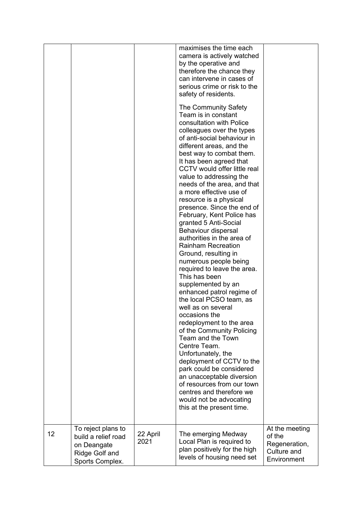|    | To reject plans to                                                      |                  | maximises the time each<br>camera is actively watched<br>by the operative and<br>therefore the chance they<br>can intervene in cases of<br>serious crime or risk to the<br>safety of residents.<br>The Community Safety<br>Team is in constant<br>consultation with Police<br>colleagues over the types<br>of anti-social behaviour in<br>different areas, and the<br>best way to combat them.<br>It has been agreed that<br>CCTV would offer little real<br>value to addressing the<br>needs of the area, and that<br>a more effective use of<br>resource is a physical<br>presence. Since the end of<br>February, Kent Police has<br>granted 5 Anti-Social<br>Behaviour dispersal<br>authorities in the area of<br><b>Rainham Recreation</b><br>Ground, resulting in<br>numerous people being<br>required to leave the area.<br>This has been<br>supplemented by an<br>enhanced patrol regime of<br>the local PCSO team, as<br>well as on several<br>occasions the<br>redeployment to the area<br>of the Community Policing<br>Team and the Town<br>Centre Team.<br>Unfortunately, the<br>deployment of CCTV to the<br>park could be considered<br>an unacceptable diversion<br>of resources from our town<br>centres and therefore we<br>would not be advocating<br>this at the present time. | At the meeting                                        |
|----|-------------------------------------------------------------------------|------------------|--------------------------------------------------------------------------------------------------------------------------------------------------------------------------------------------------------------------------------------------------------------------------------------------------------------------------------------------------------------------------------------------------------------------------------------------------------------------------------------------------------------------------------------------------------------------------------------------------------------------------------------------------------------------------------------------------------------------------------------------------------------------------------------------------------------------------------------------------------------------------------------------------------------------------------------------------------------------------------------------------------------------------------------------------------------------------------------------------------------------------------------------------------------------------------------------------------------------------------------------------------------------------------------------------|-------------------------------------------------------|
| 12 | build a relief road<br>on Deangate<br>Ridge Golf and<br>Sports Complex. | 22 April<br>2021 | The emerging Medway<br>Local Plan is required to<br>plan positively for the high<br>levels of housing need set                                                                                                                                                                                                                                                                                                                                                                                                                                                                                                                                                                                                                                                                                                                                                                                                                                                                                                                                                                                                                                                                                                                                                                                   | of the<br>Regeneration,<br>Culture and<br>Environment |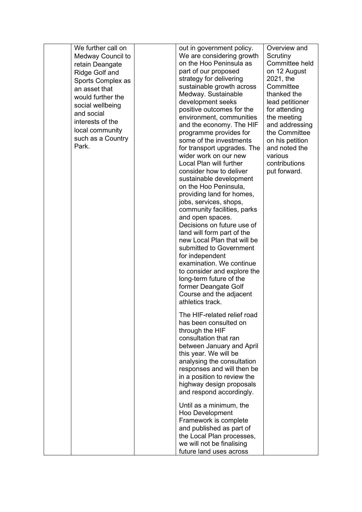| We further call on    | out in government policy.   | Overview and    |
|-----------------------|-----------------------------|-----------------|
| Medway Council to     | We are considering growth   | Scrutiny        |
| retain Deangate       | on the Hoo Peninsula as     | Committee held  |
| <b>Ridge Golf and</b> | part of our proposed        | on 12 August    |
| Sports Complex as     | strategy for delivering     | 2021, the       |
| an asset that         | sustainable growth across   | Committee       |
| would further the     | Medway. Sustainable         | thanked the     |
|                       | development seeks           | lead petitioner |
| social wellbeing      | positive outcomes for the   | for attending   |
| and social            | environment, communities    | the meeting     |
| interests of the      | and the economy. The HIF    | and addressing  |
| local community       | programme provides for      | the Committee   |
| such as a Country     | some of the investments     | on his petition |
| Park.                 | for transport upgrades. The | and noted the   |
|                       | wider work on our new       | various         |
|                       | Local Plan will further     | contributions   |
|                       | consider how to deliver     | put forward.    |
|                       | sustainable development     |                 |
|                       | on the Hoo Peninsula,       |                 |
|                       | providing land for homes,   |                 |
|                       | jobs, services, shops,      |                 |
|                       | community facilities, parks |                 |
|                       | and open spaces.            |                 |
|                       | Decisions on future use of  |                 |
|                       | land will form part of the  |                 |
|                       | new Local Plan that will be |                 |
|                       | submitted to Government     |                 |
|                       | for independent             |                 |
|                       | examination. We continue    |                 |
|                       | to consider and explore the |                 |
|                       | long-term future of the     |                 |
|                       | former Deangate Golf        |                 |
|                       | Course and the adjacent     |                 |
|                       | athletics track.            |                 |
|                       | The HIF-related relief road |                 |
|                       | has been consulted on       |                 |
|                       | through the HIF             |                 |
|                       | consultation that ran       |                 |
|                       | between January and April   |                 |
|                       | this year. We will be       |                 |
|                       | analysing the consultation  |                 |
|                       | responses and will then be  |                 |
|                       | in a position to review the |                 |
|                       | highway design proposals    |                 |
|                       | and respond accordingly.    |                 |
|                       |                             |                 |
|                       | Until as a minimum, the     |                 |
|                       | Hoo Development             |                 |
|                       | Framework is complete       |                 |
|                       | and published as part of    |                 |
|                       | the Local Plan processes,   |                 |
|                       | we will not be finalising   |                 |
|                       | future land uses across     |                 |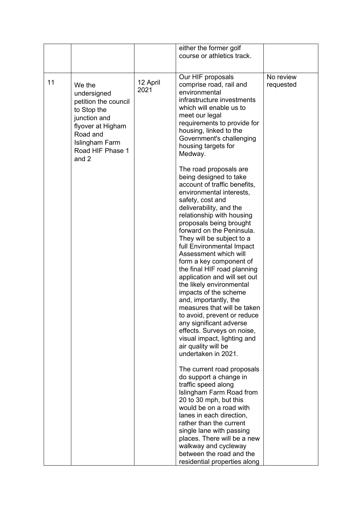|    |                                                                                                                                                              |                  | either the former golf<br>course or athletics track.                                                                                                                                                                                                                                                                                                                                                                                                                                                                  |                        |
|----|--------------------------------------------------------------------------------------------------------------------------------------------------------------|------------------|-----------------------------------------------------------------------------------------------------------------------------------------------------------------------------------------------------------------------------------------------------------------------------------------------------------------------------------------------------------------------------------------------------------------------------------------------------------------------------------------------------------------------|------------------------|
| 11 | We the<br>undersigned<br>petition the council<br>to Stop the<br>junction and<br>flyover at Higham<br>Road and<br>Islingham Farm<br>Road HIF Phase 1<br>and 2 | 12 April<br>2021 | Our HIF proposals<br>comprise road, rail and<br>environmental<br>infrastructure investments<br>which will enable us to<br>meet our legal<br>requirements to provide for<br>housing, linked to the<br>Government's challenging<br>housing targets for<br>Medway.<br>The road proposals are<br>being designed to take                                                                                                                                                                                                   | No review<br>requested |
|    |                                                                                                                                                              |                  | account of traffic benefits,<br>environmental interests,<br>safety, cost and<br>deliverability, and the<br>relationship with housing<br>proposals being brought<br>forward on the Peninsula.<br>They will be subject to a<br>full Environmental Impact<br>Assessment which will<br>form a key component of<br>the final HIF road planning<br>application and will set out<br>the likely environmental<br>impacts of the scheme<br>and, importantly, the<br>measures that will be taken<br>to avoid, prevent or reduce |                        |
|    |                                                                                                                                                              |                  | any significant adverse<br>effects. Surveys on noise,<br>visual impact, lighting and<br>air quality will be<br>undertaken in 2021.<br>The current road proposals                                                                                                                                                                                                                                                                                                                                                      |                        |
|    |                                                                                                                                                              |                  | do support a change in<br>traffic speed along<br>Islingham Farm Road from<br>20 to 30 mph, but this<br>would be on a road with<br>lanes in each direction,<br>rather than the current<br>single lane with passing                                                                                                                                                                                                                                                                                                     |                        |
|    |                                                                                                                                                              |                  | places. There will be a new<br>walkway and cycleway<br>between the road and the<br>residential properties along                                                                                                                                                                                                                                                                                                                                                                                                       |                        |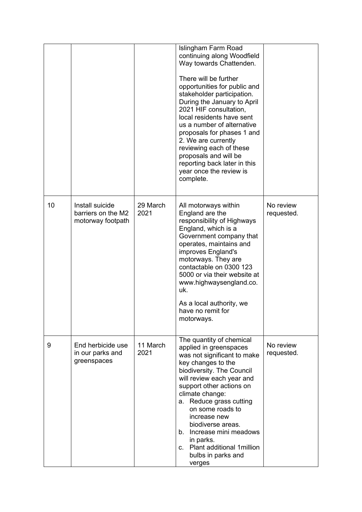|    |                                                            |                  | Islingham Farm Road<br>continuing along Woodfield<br>Way towards Chattenden.<br>There will be further<br>opportunities for public and<br>stakeholder participation.<br>During the January to April<br>2021 HIF consultation,<br>local residents have sent<br>us a number of alternative<br>proposals for phases 1 and<br>2. We are currently<br>reviewing each of these<br>proposals and will be<br>reporting back later in this<br>year once the review is<br>complete. |                         |
|----|------------------------------------------------------------|------------------|--------------------------------------------------------------------------------------------------------------------------------------------------------------------------------------------------------------------------------------------------------------------------------------------------------------------------------------------------------------------------------------------------------------------------------------------------------------------------|-------------------------|
| 10 | Install suicide<br>barriers on the M2<br>motorway footpath | 29 March<br>2021 | All motorways within<br>England are the<br>responsibility of Highways<br>England, which is a<br>Government company that<br>operates, maintains and<br>improves England's<br>motorways. They are<br>contactable on 0300 123<br>5000 or via their website at<br>www.highwaysengland.co.<br>uk.<br>As a local authority, we<br>have no remit for<br>motorways.                                                                                                              | No review<br>requested. |
| 9  | End herbicide use<br>in our parks and<br>greenspaces       | 11 March<br>2021 | The quantity of chemical<br>applied in greenspaces<br>was not significant to make<br>key changes to the<br>biodiversity. The Council<br>will review each year and<br>support other actions on<br>climate change:<br>Reduce grass cutting<br>а.<br>on some roads to<br>increase new<br>biodiverse areas.<br>b. Increase mini meadows<br>in parks.<br>c. Plant additional 1 million<br>bulbs in parks and<br>verges                                                        | No review<br>requested. |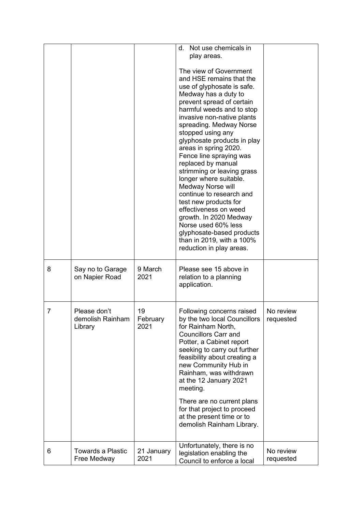|   |                                             |                        | Not use chemicals in<br>d.<br>play areas.<br>The view of Government<br>and HSE remains that the<br>use of glyphosate is safe.<br>Medway has a duty to<br>prevent spread of certain<br>harmful weeds and to stop<br>invasive non-native plants<br>spreading. Medway Norse<br>stopped using any<br>glyphosate products in play                                                                                              |                        |
|---|---------------------------------------------|------------------------|---------------------------------------------------------------------------------------------------------------------------------------------------------------------------------------------------------------------------------------------------------------------------------------------------------------------------------------------------------------------------------------------------------------------------|------------------------|
|   |                                             |                        | areas in spring 2020.<br>Fence line spraying was<br>replaced by manual<br>strimming or leaving grass<br>longer where suitable.<br><b>Medway Norse will</b><br>continue to research and<br>test new products for<br>effectiveness on weed<br>growth. In 2020 Medway<br>Norse used 60% less<br>glyphosate-based products<br>than in 2019, with a 100%<br>reduction in play areas.                                           |                        |
| 8 | Say no to Garage<br>on Napier Road          | 9 March<br>2021        | Please see 15 above in<br>relation to a planning<br>application.                                                                                                                                                                                                                                                                                                                                                          |                        |
| 7 | Please don't<br>demolish Rainham<br>Library | 19<br>February<br>2021 | Following concerns raised<br>by the two local Councillors<br>for Rainham North,<br><b>Councillors Carr and</b><br>Potter, a Cabinet report<br>seeking to carry out further<br>feasibility about creating a<br>new Community Hub in<br>Rainham, was withdrawn<br>at the 12 January 2021<br>meeting.<br>There are no current plans<br>for that project to proceed<br>at the present time or to<br>demolish Rainham Library. | No review<br>requested |
| 6 | <b>Towards a Plastic</b><br>Free Medway     | 21 January<br>2021     | Unfortunately, there is no<br>legislation enabling the<br>Council to enforce a local                                                                                                                                                                                                                                                                                                                                      | No review<br>requested |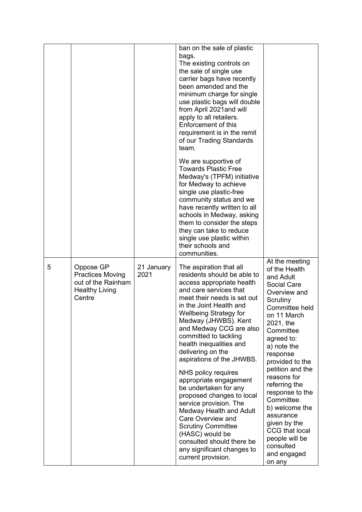|   |                                                                                               |                    | ban on the sale of plastic<br>bags.<br>The existing controls on<br>the sale of single use<br>carrier bags have recently<br>been amended and the<br>minimum charge for single<br>use plastic bags will double<br>from April 2021 and will<br>apply to all retailers.<br>Enforcement of this<br>requirement is in the remit<br>of our Trading Standards<br>team.                                                                                                                                                                                                                                                                                                               |                                                                                                                                                                                                                                                                                                                                                                                                                                     |
|---|-----------------------------------------------------------------------------------------------|--------------------|------------------------------------------------------------------------------------------------------------------------------------------------------------------------------------------------------------------------------------------------------------------------------------------------------------------------------------------------------------------------------------------------------------------------------------------------------------------------------------------------------------------------------------------------------------------------------------------------------------------------------------------------------------------------------|-------------------------------------------------------------------------------------------------------------------------------------------------------------------------------------------------------------------------------------------------------------------------------------------------------------------------------------------------------------------------------------------------------------------------------------|
|   |                                                                                               |                    | We are supportive of<br><b>Towards Plastic Free</b><br>Medway's (TPFM) initiative<br>for Medway to achieve<br>single use plastic-free<br>community status and we<br>have recently written to all<br>schools in Medway, asking<br>them to consider the steps<br>they can take to reduce<br>single use plastic within<br>their schools and<br>communities.                                                                                                                                                                                                                                                                                                                     |                                                                                                                                                                                                                                                                                                                                                                                                                                     |
| 5 | Oppose GP<br><b>Practices Moving</b><br>out of the Rainham<br><b>Healthy Living</b><br>Centre | 21 January<br>2021 | The aspiration that all<br>residents should be able to<br>access appropriate health<br>and care services that<br>meet their needs is set out<br>in the Joint Health and<br>Wellbeing Strategy for<br>Medway (JHWBS). Kent<br>and Medway CCG are also<br>committed to tackling<br>health inequalities and<br>delivering on the<br>aspirations of the JHWBS.<br>NHS policy requires<br>appropriate engagement<br>be undertaken for any<br>proposed changes to local<br>service provision. The<br>Medway Health and Adult<br>Care Overview and<br><b>Scrutiny Committee</b><br>(HASC) would be<br>consulted should there be<br>any significant changes to<br>current provision. | At the meeting<br>of the Health<br>and Adult<br><b>Social Care</b><br>Overview and<br>Scrutiny<br>Committee held<br>on 11 March<br>2021, the<br>Committee<br>agreed to:<br>a) note the<br>response<br>provided to the<br>petition and the<br>reasons for<br>referring the<br>response to the<br>Committee.<br>b) welcome the<br>assurance<br>given by the<br>CCG that local<br>people will be<br>consulted<br>and engaged<br>on any |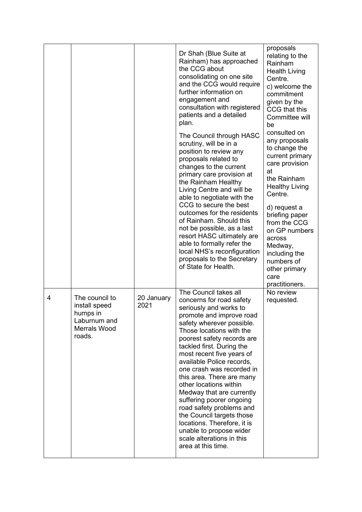|   |                                                                                              |                    | Dr Shah (Blue Suite at<br>Rainham) has approached<br>the CCG about<br>consolidating on one site<br>and the CCG would require<br>further information on<br>engagement and<br>consultation with registered<br>patients and a detailed<br>plan.<br>The Council through HASC<br>scrutiny, will be in a<br>position to review any<br>proposals related to<br>changes to the current<br>primary care provision at<br>the Rainham Healthy<br>Living Centre and will be<br>able to negotiate with the<br>CCG to secure the best<br>outcomes for the residents<br>of Rainham. Should this<br>not be possible, as a last<br>resort HASC ultimately are<br>able to formally refer the<br>local NHS's reconfiguration<br>proposals to the Secretary<br>of State for Health. | proposals<br>relating to the<br>Rainham<br><b>Health Living</b><br>Centre.<br>c) welcome the<br>commitment<br>given by the<br>CCG that this<br>Committee will<br>be<br>consulted on<br>any proposals<br>to change the<br>current primary<br>care provision<br>at<br>the Rainham<br><b>Healthy Living</b><br>Centre.<br>d) request a<br>briefing paper<br>from the CCG<br>on GP numbers<br>across<br>Medway,<br>including the<br>numbers of<br>other primary<br>care |
|---|----------------------------------------------------------------------------------------------|--------------------|-----------------------------------------------------------------------------------------------------------------------------------------------------------------------------------------------------------------------------------------------------------------------------------------------------------------------------------------------------------------------------------------------------------------------------------------------------------------------------------------------------------------------------------------------------------------------------------------------------------------------------------------------------------------------------------------------------------------------------------------------------------------|---------------------------------------------------------------------------------------------------------------------------------------------------------------------------------------------------------------------------------------------------------------------------------------------------------------------------------------------------------------------------------------------------------------------------------------------------------------------|
| 4 | The council to<br>install speed<br>humps in<br>Laburnum and<br><b>Merrals Wood</b><br>roads. | 20 January<br>2021 | The Council takes all<br>concerns for road safety<br>seriously and works to<br>promote and improve road<br>safety wherever possible.<br>Those locations with the<br>poorest safety records are<br>tackled first. During the<br>most recent five years of<br>available Police records,<br>one crash was recorded in<br>this area. There are many<br>other locations within<br>Medway that are currently<br>suffering poorer ongoing<br>road safety problems and<br>the Council targets those<br>locations. Therefore, it is<br>unable to propose wider<br>scale alterations in this<br>area at this time.                                                                                                                                                        | practitioners.<br>No review<br>requested.                                                                                                                                                                                                                                                                                                                                                                                                                           |